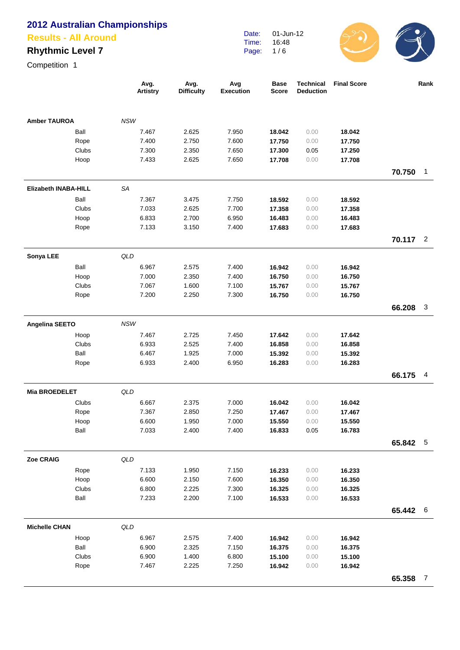#### **Results - All Around**

## **Rhythmic Level 7**

Date: Time: Page: 01-Jun-12 16:48 1 / 6



Competition 1

|                             |       | Avg.<br>Artistry | Avg.<br><b>Difficulty</b> | Avg<br><b>Execution</b> | <b>Base</b><br>Score | <b>Technical</b><br><b>Deduction</b> | <b>Final Score</b> |          | Rank           |
|-----------------------------|-------|------------------|---------------------------|-------------------------|----------------------|--------------------------------------|--------------------|----------|----------------|
| <b>Amber TAUROA</b>         |       | <b>NSW</b>       |                           |                         |                      |                                      |                    |          |                |
|                             | Ball  | 7.467            | 2.625                     | 7.950                   | 18.042               | 0.00                                 | 18.042             |          |                |
|                             | Rope  | 7.400            | 2.750                     | 7.600                   | 17.750               | 0.00                                 | 17.750             |          |                |
|                             | Clubs | 7.300            | 2.350                     | 7.650                   | 17.300               | 0.05                                 | 17.250             |          |                |
|                             | Hoop  | 7.433            | 2.625                     | 7.650                   | 17.708               | 0.00                                 | 17.708             |          |                |
|                             |       |                  |                           |                         |                      |                                      |                    | 70.750   | 1              |
| <b>Elizabeth INABA-HILL</b> |       | <b>SA</b>        |                           |                         |                      |                                      |                    |          |                |
|                             | Ball  | 7.367            | 3.475                     | 7.750                   | 18.592               | 0.00                                 | 18.592             |          |                |
|                             | Clubs | 7.033            | 2.625                     | 7.700                   | 17.358               | 0.00                                 | 17.358             |          |                |
|                             | Hoop  | 6.833            | 2.700                     | 6.950                   | 16.483               | 0.00                                 | 16.483             |          |                |
|                             | Rope  | 7.133            | 3.150                     | 7.400                   | 17.683               | 0.00                                 | 17.683             |          |                |
|                             |       |                  |                           |                         |                      |                                      |                    | 70.117   | $\overline{2}$ |
| Sonya LEE                   |       | QLD              |                           |                         |                      |                                      |                    |          |                |
|                             | Ball  | 6.967            | 2.575                     | 7.400                   | 16.942               | 0.00                                 | 16.942             |          |                |
|                             | Hoop  | 7.000            | 2.350                     | 7.400                   | 16.750               | 0.00                                 | 16.750             |          |                |
|                             | Clubs | 7.067            | 1.600                     | 7.100                   | 15.767               | 0.00                                 | 15.767             |          |                |
|                             | Rope  | 7.200            | 2.250                     | 7.300                   | 16.750               | 0.00                                 | 16.750             |          |                |
|                             |       |                  |                           |                         |                      |                                      |                    | 66.208   | $\mathbf{3}$   |
| Angelina SEETO              |       | <b>NSW</b>       |                           |                         |                      |                                      |                    |          |                |
|                             | Hoop  | 7.467            | 2.725                     | 7.450                   | 17.642               | 0.00                                 | 17.642             |          |                |
|                             | Clubs | 6.933            | 2.525                     | 7.400                   | 16.858               | 0.00                                 | 16.858             |          |                |
|                             | Ball  | 6.467            | 1.925                     | 7.000                   | 15.392               | 0.00                                 | 15.392             |          |                |
|                             | Rope  | 6.933            | 2.400                     | 6.950                   | 16.283               | 0.00                                 | 16.283             |          |                |
|                             |       |                  |                           |                         |                      |                                      |                    | 66.175   | 4              |
| <b>Mia BROEDELET</b>        |       | QLD              |                           |                         |                      |                                      |                    |          |                |
|                             | Clubs | 6.667            | 2.375                     | 7.000                   | 16.042               | 0.00                                 | 16.042             |          |                |
|                             | Rope  | 7.367            | 2.850                     | 7.250                   | 17.467               | 0.00                                 | 17.467             |          |                |
|                             | Hoop  | 6.600            | 1.950                     | 7.000                   | 15.550               | 0.00                                 | 15.550             |          |                |
|                             | Ball  | 7.033            | 2.400                     | 7.400                   | 16.833               | 0.05                                 | 16.783             |          |                |
|                             |       |                  |                           |                         |                      |                                      |                    | 65.842 5 |                |
| Zoe CRAIG                   |       | QLD              |                           |                         |                      |                                      |                    |          |                |
|                             | Rope  | 7.133            | 1.950                     | 7.150                   | 16.233               | 0.00                                 | 16.233             |          |                |
|                             | Hoop  | 6.600            | 2.150                     | 7.600                   | 16.350               | 0.00                                 | 16.350             |          |                |
|                             | Clubs | 6.800            | 2.225                     | 7.300                   | 16.325               | 0.00                                 | 16.325             |          |                |
|                             | Ball  | 7.233            | 2.200                     | 7.100                   | 16.533               | 0.00                                 | 16.533             |          |                |
|                             |       |                  |                           |                         |                      |                                      |                    | 65.442 6 |                |
| <b>Michelle CHAN</b>        |       | QLD              |                           |                         |                      |                                      |                    |          |                |
|                             | Hoop  | 6.967            | 2.575                     | 7.400                   | 16.942               | 0.00                                 | 16.942             |          |                |
|                             | Ball  | 6.900            | 2.325                     | 7.150                   | 16.375               | 0.00                                 | 16.375             |          |                |
|                             | Clubs | 6.900            | 1.400                     | 6.800                   | 15.100               | 0.00                                 | 15.100             |          |                |
|                             | Rope  | 7.467            | 2.225                     | 7.250                   | 16.942               | 0.00                                 | 16.942             |          |                |
|                             |       |                  |                           |                         |                      |                                      |                    | 65.358 7 |                |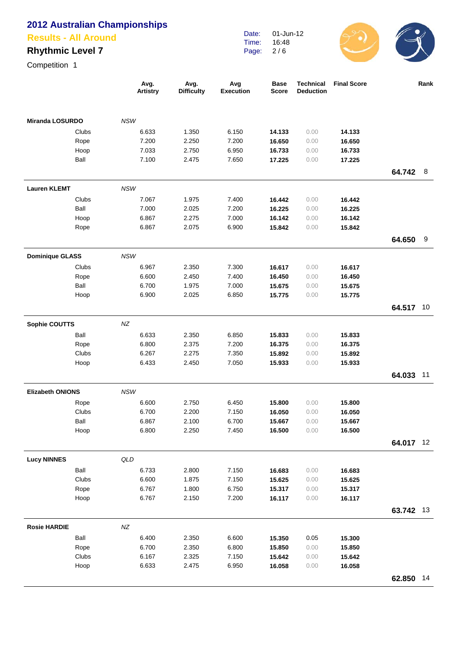#### **Results - All Ar**

### **Rhythmic Level 7**

Competition 1

**Miranda LOSURDO** 

Lauren **KLEMT** 

**Dominique GLASS** 

Sophie COUTTS

**Elizabeth ONIONS** 

| <b>II Around</b><br>evel 7 | alian Championships |                           | Date:<br>Time:<br>Page: | 01-Jun-12<br>16:48<br>2/6   |                                      |                    |        |      |
|----------------------------|---------------------|---------------------------|-------------------------|-----------------------------|--------------------------------------|--------------------|--------|------|
|                            | Avg.<br>Artistry    | Avg.<br><b>Difficulty</b> | Avg<br><b>Execution</b> | <b>Base</b><br><b>Score</b> | <b>Technical</b><br><b>Deduction</b> | <b>Final Score</b> |        | Rank |
| DO                         | <b>NSW</b>          |                           |                         |                             |                                      |                    |        |      |
| Clubs                      | 6.633               | 1.350                     | 6.150                   | 14.133                      | 0.00                                 | 14.133             |        |      |
| Rope                       | 7.200               | 2.250                     | 7.200                   | 16.650                      | 0.00                                 | 16.650             |        |      |
| Hoop                       | 7.033               | 2.750                     | 6.950                   | 16.733                      | 0.00                                 | 16.733             |        |      |
| Ball                       | 7.100               | 2.475                     | 7.650                   | 17.225                      | 0.00                                 | 17.225             |        |      |
|                            |                     |                           |                         |                             |                                      |                    | 64.742 | 8    |
|                            | <b>NSW</b>          |                           |                         |                             |                                      |                    |        |      |
| Clubs                      | 7.067               | 1.975                     | 7.400                   | 16.442                      | 0.00                                 | 16.442             |        |      |
| Ball                       | 7.000               | 2.025                     | 7.200                   | 16.225                      | 0.00                                 | 16.225             |        |      |
| Hoop                       | 6.867               | 2.275                     | 7.000                   | 16.142                      | 0.00                                 | 16.142             |        |      |
| Rope                       | 6.867               | 2.075                     | 6.900                   | 15.842                      | 0.00                                 | 15.842             |        |      |
|                            |                     |                           |                         |                             |                                      |                    | 64.650 | 9    |
| SS                         | <b>NSW</b>          |                           |                         |                             |                                      |                    |        |      |
| Clubs                      | 6.967               | 2.350                     | 7.300                   | 16.617                      | 0.00                                 | 16.617             |        |      |
| Rope                       | 6.600               | 2.450                     | 7.400                   | 16.450                      | 0.00                                 | 16.450             |        |      |
| Ball                       | 6.700               | 1.975                     | 7.000                   | 15.675                      | 0.00                                 | 15.675             |        |      |
| Hoop                       | 6.900               | 2.025                     | 6.850                   | 15.775                      | 0.00                                 | 15.775             |        |      |
|                            |                     |                           |                         |                             |                                      |                    | 64.517 | 10   |
|                            | NZ                  |                           |                         |                             |                                      |                    |        |      |
| Ball                       | 6.633               | 2.350                     | 6.850                   | 15.833                      | 0.00                                 | 15.833             |        |      |
| Rope                       | 6.800               | 2.375                     | 7.200                   | 16.375                      | 0.00                                 | 16.375             |        |      |
| Clubs                      | 6.267               | 2.275                     | 7.350                   | 15.892                      | 0.00                                 | 15.892             |        |      |
| Hoop                       | 6.433               | 2.450                     | 7.050                   | 15.933                      | 0.00                                 | 15.933             |        |      |
|                            |                     |                           |                         |                             |                                      |                    | 64.033 | 11   |
| ۱S                         | <b>NSW</b>          |                           |                         |                             |                                      |                    |        |      |

|                     | Rope         |     | 6.600 | 2.750 | 6.450 | 15.800 | 0.00 | 15.800 |           |    |
|---------------------|--------------|-----|-------|-------|-------|--------|------|--------|-----------|----|
|                     | Clubs        |     | 6.700 | 2.200 | 7.150 | 16.050 | 0.00 | 16.050 |           |    |
|                     | Ball         |     | 6.867 | 2.100 | 6.700 | 15.667 | 0.00 | 15.667 |           |    |
|                     | Hoop         |     | 6.800 | 2.250 | 7.450 | 16.500 | 0.00 | 16.500 |           |    |
|                     |              |     |       |       |       |        |      |        | 64.017    | 12 |
| <b>Lucy NINNES</b>  |              | QLD |       |       |       |        |      |        |           |    |
|                     | Ball         |     | 6.733 | 2.800 | 7.150 | 16.683 | 0.00 | 16.683 |           |    |
|                     | <b>Clubs</b> |     | 6.600 | 1.875 | 7.150 | 15.625 | 0.00 | 15.625 |           |    |
|                     | Rope         |     | 6.767 | 1.800 | 6.750 | 15.317 | 0.00 | 15.317 |           |    |
|                     | Hoop         |     | 6.767 | 2.150 | 7.200 | 16.117 | 0.00 | 16.117 |           |    |
|                     |              |     |       |       |       |        |      |        | 63.742 13 |    |
| <b>Rosie HARDIE</b> |              | ΝZ  |       |       |       |        |      |        |           |    |
|                     | Ball         |     | 6.400 | 2.350 | 6.600 | 15.350 | 0.05 | 15.300 |           |    |
|                     | Rope         |     | 6.700 | 2.350 | 6.800 | 15.850 | 0.00 | 15.850 |           |    |
|                     | Clubs        |     | 6.167 | 2.325 | 7.150 | 15.642 | 0.00 | 15.642 |           |    |
|                     | Hoop         |     | 6.633 | 2.475 | 6.950 | 16.058 | 0.00 | 16.058 |           |    |
|                     |              |     |       |       |       |        |      |        | 62.850    | 14 |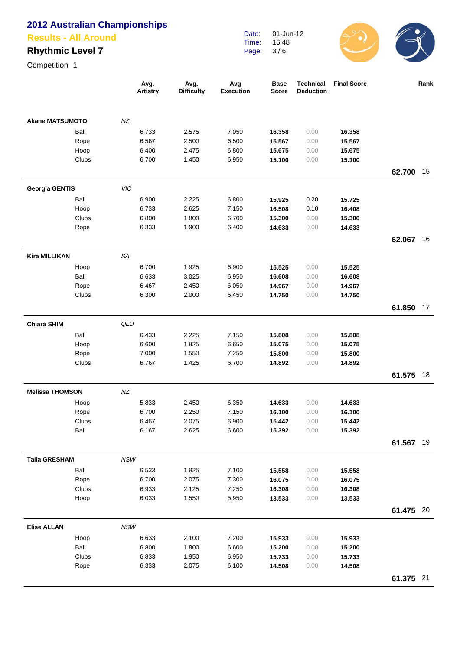#### **Results - All Around**

# **Rhythmic Level 7**

Competition 1

| Date: | 01-Jun-12 |  |
|-------|-----------|--|
| Time: | 16:48     |  |
| Page: | 3/6       |  |



|                        |            | Avg.<br><b>Artistry</b> | Avg.<br><b>Difficulty</b> | Avg<br><b>Execution</b> | <b>Base</b><br><b>Score</b> | <b>Technical</b><br><b>Deduction</b> | <b>Final Score</b> |           | Rank |
|------------------------|------------|-------------------------|---------------------------|-------------------------|-----------------------------|--------------------------------------|--------------------|-----------|------|
| <b>Akane MATSUMOTO</b> | NZ         |                         |                           |                         |                             |                                      |                    |           |      |
| Ball                   |            | 6.733                   | 2.575                     | 7.050                   | 16.358                      | 0.00                                 | 16.358             |           |      |
| Rope                   |            | 6.567                   | 2.500                     | 6.500                   | 15.567                      | 0.00                                 | 15.567             |           |      |
| Hoop                   |            | 6.400                   | 2.475                     | 6.800                   | 15.675                      | 0.00                                 | 15.675             |           |      |
| Clubs                  |            | 6.700                   | 1.450                     | 6.950                   | 15.100                      | 0.00                                 | 15.100             |           |      |
|                        |            |                         |                           |                         |                             |                                      |                    | 62.700    | 15   |
| <b>Georgia GENTIS</b>  | VIC        |                         |                           |                         |                             |                                      |                    |           |      |
| Ball                   |            | 6.900                   | 2.225                     | 6.800                   | 15.925                      | 0.20                                 | 15.725             |           |      |
| Hoop                   |            | 6.733                   | 2.625                     | 7.150                   | 16.508                      | 0.10                                 | 16.408             |           |      |
| Clubs                  |            | 6.800                   | 1.800                     | 6.700                   | 15.300                      | 0.00                                 | 15.300             |           |      |
| Rope                   |            | 6.333                   | 1.900                     | 6.400                   | 14.633                      | 0.00                                 | 14.633             |           |      |
|                        |            |                         |                           |                         |                             |                                      |                    | 62.067    | 16   |
| <b>Kira MILLIKAN</b>   | SA         |                         |                           |                         |                             |                                      |                    |           |      |
| Hoop                   |            | 6.700                   | 1.925                     | 6.900                   | 15.525                      | 0.00                                 | 15.525             |           |      |
| Ball                   |            | 6.633                   | 3.025                     | 6.950                   | 16.608                      | 0.00                                 | 16.608             |           |      |
| Rope                   |            | 6.467                   | 2.450                     | 6.050                   | 14.967                      | 0.00                                 | 14.967             |           |      |
| Clubs                  |            | 6.300                   | 2.000                     | 6.450                   | 14.750                      | 0.00                                 | 14.750             |           |      |
|                        |            |                         |                           |                         |                             |                                      |                    | 61.850 17 |      |
| <b>Chiara SHIM</b>     | QLD        |                         |                           |                         |                             |                                      |                    |           |      |
| Ball                   |            | 6.433                   | 2.225                     | 7.150                   | 15.808                      | 0.00                                 | 15.808             |           |      |
| Hoop                   |            | 6.600                   | 1.825                     | 6.650                   | 15.075                      | 0.00                                 | 15.075             |           |      |
| Rope                   |            | 7.000                   | 1.550                     | 7.250                   | 15.800                      | 0.00                                 | 15.800             |           |      |
| Clubs                  |            | 6.767                   | 1.425                     | 6.700                   | 14.892                      | 0.00                                 | 14.892             |           |      |
|                        |            |                         |                           |                         |                             |                                      |                    | 61.575    | 18   |
| <b>Melissa THOMSON</b> | NZ         |                         |                           |                         |                             |                                      |                    |           |      |
| Hoop                   |            | 5.833                   | 2.450                     | 6.350                   | 14.633                      | 0.00                                 | 14.633             |           |      |
| Rope                   |            | 6.700                   | 2.250                     | 7.150                   | 16.100                      | 0.00                                 | 16.100             |           |      |
| Clubs                  |            | 6.467                   | 2.075                     | 6.900                   | 15.442                      | 0.00                                 | 15.442             |           |      |
| Ball                   |            | 6.167                   | 2.625                     | 6.600                   | 15.392                      | 0.00                                 | 15.392             |           |      |
|                        |            |                         |                           |                         |                             |                                      |                    | 61.567 19 |      |
| <b>Talia GRESHAM</b>   | <b>NSW</b> |                         |                           |                         |                             |                                      |                    |           |      |
| Ball                   |            | 6.533                   | 1.925                     | 7.100                   | 15.558                      | 0.00                                 | 15.558             |           |      |
| Rope                   |            | 6.700                   | 2.075                     | 7.300                   | 16.075                      | 0.00                                 | 16.075             |           |      |
| Clubs                  |            | 6.933                   | 2.125                     | 7.250                   | 16.308                      | 0.00                                 | 16.308             |           |      |
| Hoop                   |            | 6.033                   | 1.550                     | 5.950                   | 13.533                      | 0.00                                 | 13.533             |           |      |
|                        |            |                         |                           |                         |                             |                                      |                    | 61.475 20 |      |
| <b>Elise ALLAN</b>     | NSW        |                         |                           |                         |                             |                                      |                    |           |      |
| Hoop                   |            | 6.633                   | 2.100                     | 7.200                   | 15.933                      | 0.00                                 | 15.933             |           |      |
| Ball                   |            | 6.800                   | 1.800                     | 6.600                   | 15.200                      | 0.00                                 | 15.200             |           |      |
| Clubs                  |            | 6.833                   | 1.950                     | 6.950                   | 15.733                      | 0.00                                 | 15.733             |           |      |
| Rope                   |            | 6.333                   | 2.075                     | 6.100                   | 14.508                      | 0.00                                 | 14.508             |           |      |
|                        |            |                         |                           |                         |                             |                                      |                    | 61.375 21 |      |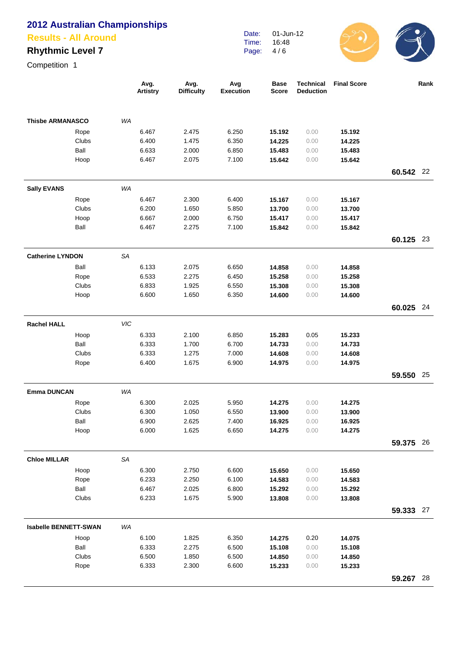#### **Results - All Around**

# **Rhythmic Level 7**

Competition 1

|                              |       |           | Avg.<br><b>Artistry</b> | Avg.<br><b>Difficulty</b> | Avg<br><b>Execution</b> | <b>Base</b><br><b>Score</b> | <b>Technical</b><br><b>Deduction</b> | <b>Final Score</b> |           | Rank |
|------------------------------|-------|-----------|-------------------------|---------------------------|-------------------------|-----------------------------|--------------------------------------|--------------------|-----------|------|
| <b>Thisbe ARMANASCO</b>      |       | WA        |                         |                           |                         |                             |                                      |                    |           |      |
|                              | Rope  |           | 6.467                   | 2.475                     | 6.250                   | 15.192                      | 0.00                                 | 15.192             |           |      |
|                              | Clubs |           | 6.400                   | 1.475                     | 6.350                   | 14.225                      | 0.00                                 | 14.225             |           |      |
|                              | Ball  |           | 6.633                   | 2.000                     | 6.850                   | 15.483                      | 0.00                                 | 15.483             |           |      |
|                              | Hoop  |           | 6.467                   | 2.075                     | 7.100                   | 15.642                      | 0.00                                 | 15.642             |           |      |
|                              |       |           |                         |                           |                         |                             |                                      |                    | 60.542 22 |      |
| <b>Sally EVANS</b>           |       | WA        |                         |                           |                         |                             |                                      |                    |           |      |
|                              | Rope  |           | 6.467                   | 2.300                     | 6.400                   | 15.167                      | 0.00                                 | 15.167             |           |      |
|                              | Clubs |           | 6.200                   | 1.650                     | 5.850                   | 13.700                      | 0.00                                 | 13.700             |           |      |
|                              | Hoop  |           | 6.667                   | 2.000                     | 6.750                   | 15.417                      | 0.00                                 | 15.417             |           |      |
|                              | Ball  |           | 6.467                   | 2.275                     | 7.100                   | 15.842                      | 0.00                                 | 15.842             |           |      |
|                              |       |           |                         |                           |                         |                             |                                      |                    | 60.125 23 |      |
| <b>Catherine LYNDON</b>      |       | <b>SA</b> |                         |                           |                         |                             |                                      |                    |           |      |
|                              | Ball  |           | 6.133                   | 2.075                     | 6.650                   | 14.858                      | 0.00                                 | 14.858             |           |      |
|                              | Rope  |           | 6.533                   | 2.275                     | 6.450                   | 15.258                      | 0.00                                 | 15.258             |           |      |
|                              | Clubs |           | 6.833                   | 1.925                     | 6.550                   | 15.308                      | 0.00                                 | 15.308             |           |      |
|                              | Hoop  |           | 6.600                   | 1.650                     | 6.350                   | 14.600                      | 0.00                                 | 14.600             |           |      |
|                              |       |           |                         |                           |                         |                             |                                      |                    | 60.025 24 |      |
| <b>Rachel HALL</b>           |       | VIC       |                         |                           |                         |                             |                                      |                    |           |      |
|                              | Hoop  |           | 6.333                   | 2.100                     | 6.850                   | 15.283                      | 0.05                                 | 15.233             |           |      |
|                              | Ball  |           | 6.333                   | 1.700                     | 6.700                   | 14.733                      | 0.00                                 | 14.733             |           |      |
|                              | Clubs |           | 6.333                   | 1.275                     | 7.000                   | 14.608                      | 0.00                                 | 14.608             |           |      |
|                              | Rope  |           | 6.400                   | 1.675                     | 6.900                   | 14.975                      | 0.00                                 | 14.975             |           |      |
|                              |       |           |                         |                           |                         |                             |                                      |                    | 59.550    | 25   |
| <b>Emma DUNCAN</b>           |       | WA        |                         |                           |                         |                             |                                      |                    |           |      |
|                              | Rope  |           | 6.300                   | 2.025                     | 5.950                   | 14.275                      | 0.00                                 | 14.275             |           |      |
|                              | Clubs |           | 6.300                   | 1.050                     | 6.550                   | 13.900                      | 0.00                                 | 13.900             |           |      |
|                              | Ball  |           | 6.900                   | 2.625                     | 7.400                   | 16.925                      | 0.00                                 | 16.925             |           |      |
|                              | Hoop  |           | 6.000                   | 1.625                     | 6.650                   | 14.275                      | 0.00                                 | 14.275             |           |      |
|                              |       |           |                         |                           |                         |                             |                                      |                    | 59.375 26 |      |
| <b>Chloe MILLAR</b>          |       | SA        |                         |                           |                         |                             |                                      |                    |           |      |
|                              | Hoop  |           | 6.300                   | 2.750                     | 6.600                   | 15.650                      | 0.00                                 | 15.650             |           |      |
|                              | Rope  |           | 6.233                   | 2.250                     | 6.100                   | 14.583                      | 0.00                                 | 14.583             |           |      |
|                              | Ball  |           | 6.467                   | 2.025                     | 6.800                   | 15.292                      | 0.00                                 | 15.292             |           |      |
|                              | Clubs |           | 6.233                   | 1.675                     | 5.900                   | 13.808                      | 0.00                                 | 13.808             | 59.333 27 |      |
|                              |       |           |                         |                           |                         |                             |                                      |                    |           |      |
| <b>Isabelle BENNETT-SWAN</b> | Hoop  | WA        | 6.100                   | 1.825                     | 6.350                   | 14.275                      | 0.20                                 | 14.075             |           |      |
|                              | Ball  |           | 6.333                   | 2.275                     | 6.500                   | 15.108                      | 0.00                                 | 15.108             |           |      |
|                              | Clubs |           | 6.500                   | 1.850                     | 6.500                   | 14.850                      | 0.00                                 | 14.850             |           |      |
|                              | Rope  |           | 6.333                   | 2.300                     | 6.600                   | 15.233                      | 0.00                                 | 15.233             |           |      |
|                              |       |           |                         |                           |                         |                             |                                      |                    | 59.267 28 |      |

Date: Time: Page: 01-Jun-12 16:48 4 / 6

 $\overline{\phantom{a}}$ 

 $\mathcal{S}(\mathbf{C})$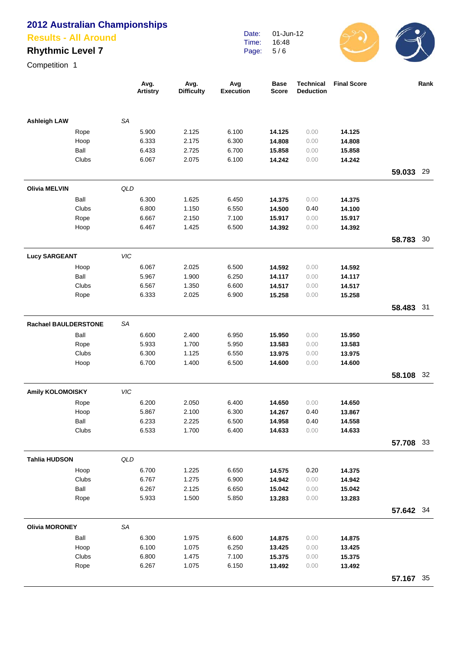**Avg. Artistry**

#### **Results - All Around**

# **Rhythmic Level 7**

Competition 1

|                   | Date:<br>Time:<br>Page: | 01-Jun-12<br>16:48<br>5/6 |                  |                    |
|-------------------|-------------------------|---------------------------|------------------|--------------------|
| Avg.              | Avg                     | <b>Base</b>               | <b>Technical</b> | <b>Final Score</b> |
| <b>Difficulty</b> | <b>Execution</b>        | <b>Score</b>              | <b>Deduction</b> |                    |

**Rank**

| <b>Ashleigh LAW</b>         |              | SA         |       |       |        |      |        |           |    |
|-----------------------------|--------------|------------|-------|-------|--------|------|--------|-----------|----|
|                             | Rope         | 5.900      | 2.125 | 6.100 | 14.125 | 0.00 | 14.125 |           |    |
|                             | Hoop         | 6.333      | 2.175 | 6.300 | 14.808 | 0.00 | 14.808 |           |    |
|                             | Ball         | 6.433      | 2.725 | 6.700 | 15.858 | 0.00 | 15.858 |           |    |
|                             | Clubs        | 6.067      | 2.075 | 6.100 | 14.242 | 0.00 | 14.242 |           |    |
|                             |              |            |       |       |        |      |        | 59.033 29 |    |
|                             |              |            |       |       |        |      |        |           |    |
| <b>Olivia MELVIN</b>        |              | QLD        |       |       |        |      |        |           |    |
|                             | Ball         | 6.300      | 1.625 | 6.450 | 14.375 | 0.00 | 14.375 |           |    |
|                             | Clubs        | 6.800      | 1.150 | 6.550 | 14.500 | 0.40 | 14.100 |           |    |
|                             | Rope         | 6.667      | 2.150 | 7.100 | 15.917 | 0.00 | 15.917 |           |    |
|                             | Hoop         | 6.467      | 1.425 | 6.500 | 14.392 | 0.00 | 14.392 |           |    |
|                             |              |            |       |       |        |      |        | 58.783    | 30 |
| <b>Lucy SARGEANT</b>        |              | <b>VIC</b> |       |       |        |      |        |           |    |
|                             | Hoop         | 6.067      | 2.025 | 6.500 | 14.592 | 0.00 | 14.592 |           |    |
|                             | Ball         | 5.967      | 1.900 | 6.250 | 14.117 | 0.00 | 14.117 |           |    |
|                             | Clubs        | 6.567      | 1.350 | 6.600 | 14.517 | 0.00 | 14.517 |           |    |
|                             | Rope         | 6.333      | 2.025 | 6.900 | 15.258 | 0.00 | 15.258 |           |    |
|                             |              |            |       |       |        |      |        | 58.483 31 |    |
| <b>Rachael BAULDERSTONE</b> |              | <b>SA</b>  |       |       |        |      |        |           |    |
|                             | Ball         | 6.600      | 2.400 | 6.950 | 15.950 | 0.00 | 15.950 |           |    |
|                             | Rope         | 5.933      | 1.700 | 5.950 | 13.583 | 0.00 | 13.583 |           |    |
|                             | Clubs        | 6.300      | 1.125 | 6.550 | 13.975 | 0.00 | 13.975 |           |    |
|                             | Hoop         | 6.700      | 1.400 | 6.500 | 14.600 | 0.00 | 14.600 |           |    |
|                             |              |            |       |       |        |      |        | 58.108 32 |    |
| Amily KOLOMOISKY            |              | <b>VIC</b> |       |       |        |      |        |           |    |
|                             |              | 6.200      | 2.050 | 6.400 | 14.650 | 0.00 | 14.650 |           |    |
|                             | Rope<br>Hoop | 5.867      | 2.100 | 6.300 | 14.267 | 0.40 | 13.867 |           |    |
|                             | Ball         | 6.233      | 2.225 | 6.500 | 14.958 | 0.40 | 14.558 |           |    |
|                             | Clubs        | 6.533      | 1.700 | 6.400 | 14.633 | 0.00 | 14.633 |           |    |
|                             |              |            |       |       |        |      |        | 57.708 33 |    |
|                             |              |            |       |       |        |      |        |           |    |
| <b>Tahlia HUDSON</b>        |              | QLD        |       |       |        |      |        |           |    |
|                             | Hoop         | 6.700      | 1.225 | 6.650 | 14.575 | 0.20 | 14.375 |           |    |
|                             | Clubs        | 6.767      | 1.275 | 6.900 | 14.942 | 0.00 | 14.942 |           |    |
|                             | Ball         | 6.267      | 2.125 | 6.650 | 15.042 | 0.00 | 15.042 |           |    |
|                             | Rope         | 5.933      | 1.500 | 5.850 | 13.283 | 0.00 | 13.283 |           |    |
|                             |              |            |       |       |        |      |        | 57.642 34 |    |
| <b>Olivia MORONEY</b>       |              | SA         |       |       |        |      |        |           |    |
|                             | Ball         | 6.300      | 1.975 | 6.600 | 14.875 | 0.00 | 14.875 |           |    |
|                             | Hoop         | 6.100      | 1.075 | 6.250 | 13.425 | 0.00 | 13.425 |           |    |
|                             | Clubs        | 6.800      | 1.475 | 7.100 | 15.375 | 0.00 | 15.375 |           |    |
|                             | Rope         | 6.267      | 1.075 | 6.150 | 13.492 | 0.00 | 13.492 |           |    |
|                             |              |            |       |       |        |      |        | 57.167 35 |    |